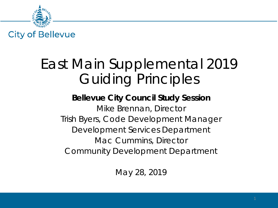

#### East Main Supplemental 2019 Guiding Principles

#### **Bellevue City Council Study Session** Mike Brennan, Director Trish Byers, Code Development Manager *Development Services Department* Mac Cummins, Director *Community Development Department*

May 28, 2019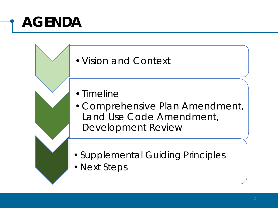## **AGENDA**

#### •Vision and Context

- •Timeline
- •Comprehensive Plan Amendment, Land Use Code Amendment, Development Review
- •Supplemental Guiding Principles
- •Next Steps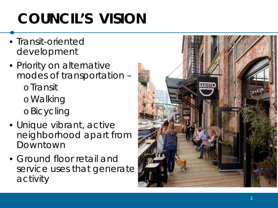# **COUNCIL'S VISION**

- Transit -oriented development
- Priority on alternative modes of transportation – oTransit oWalking oBicycling
- Unique vibrant, active neighborhood apart from Downtown
- Ground floor retail and service uses that generate activity

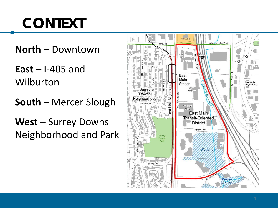## **CONTEXT**

**North** – Downtown

**East** – I-405 and Wilburton

**South** – Mercer Slough

**West** – Surrey Downs Neighborhood and Park

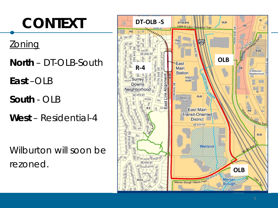

*Wilburton will soon be rezoned.*

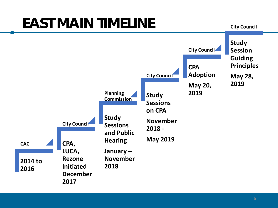### **EAST MAIN TIMELINE**

**City Council** 

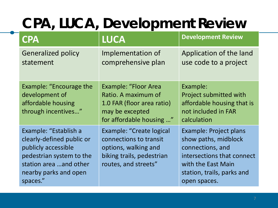## **CPA, LUCA, Development Review**

| <b>CPA</b>                                                                                                                                                           | <b>LUCA</b>                                                                                                                     | <b>Development Review</b>                                                                                                                                                   |
|----------------------------------------------------------------------------------------------------------------------------------------------------------------------|---------------------------------------------------------------------------------------------------------------------------------|-----------------------------------------------------------------------------------------------------------------------------------------------------------------------------|
| <b>Generalized policy</b><br>statement                                                                                                                               | Implementation of<br>comprehensive plan                                                                                         | Application of the land<br>use code to a project                                                                                                                            |
| Example: "Encourage the<br>development of<br>affordable housing<br>through incentives"                                                                               | <b>Example: "Floor Area</b><br>Ratio. A maximum of<br>1.0 FAR (floor area ratio)<br>may be excepted<br>for affordable housing " | Example:<br>Project submitted with<br>affordable housing that is<br>not included in FAR<br>calculation                                                                      |
| Example: "Establish a<br>clearly-defined public or<br>publicly accessible<br>pedestrian system to the<br>station area and other<br>nearby parks and open<br>spaces." | Example: "Create logical<br>connections to transit<br>options, walking and<br>biking trails, pedestrian<br>routes, and streets" | <b>Example: Project plans</b><br>show paths, midblock<br>connections, and<br>intersections that connect<br>with the East Main<br>station, trails, parks and<br>open spaces. |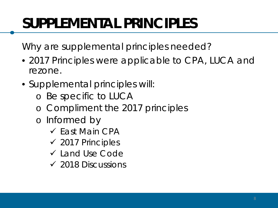Why are supplemental principles needed?

- 2017 Principles were applicable to CPA, LUCA and rezone.
- Supplemental principles will:
	- o Be specific to LUCA
	- o Compliment the 2017 principles
	- o Informed by
		- $\checkmark$  Fast Main CPA
		- $\checkmark$  2017 Principles
		- Land Use Code
		- $\checkmark$  2018 Discussions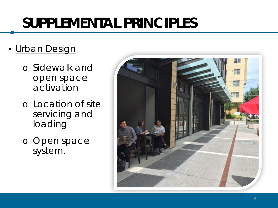#### • Urban Design

- o Sidewalk and open space activation
- o Location of site servicing and loading
- o Open space system.

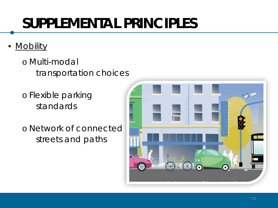- Mobility
	- o Multi-modal transportation choices
	- o Flexible parking standards
	- o Network of connected streets and paths

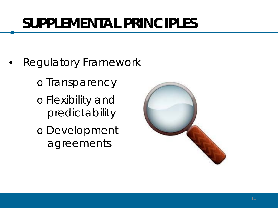- Regulatory Framework
	- o Transparency
	- o Flexibility and predictability
	- o Development agreements

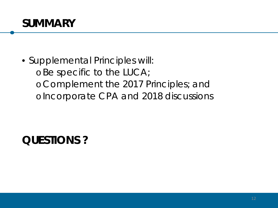

• Supplemental Principles will: o Be specific to the LUCA; o Complement the 2017 Principles; and o Incorporate CPA and 2018 discussions

**QUESTIONS ?**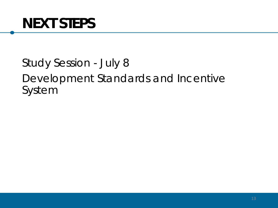#### Study Session - July 8 Development Standards and Incentive System